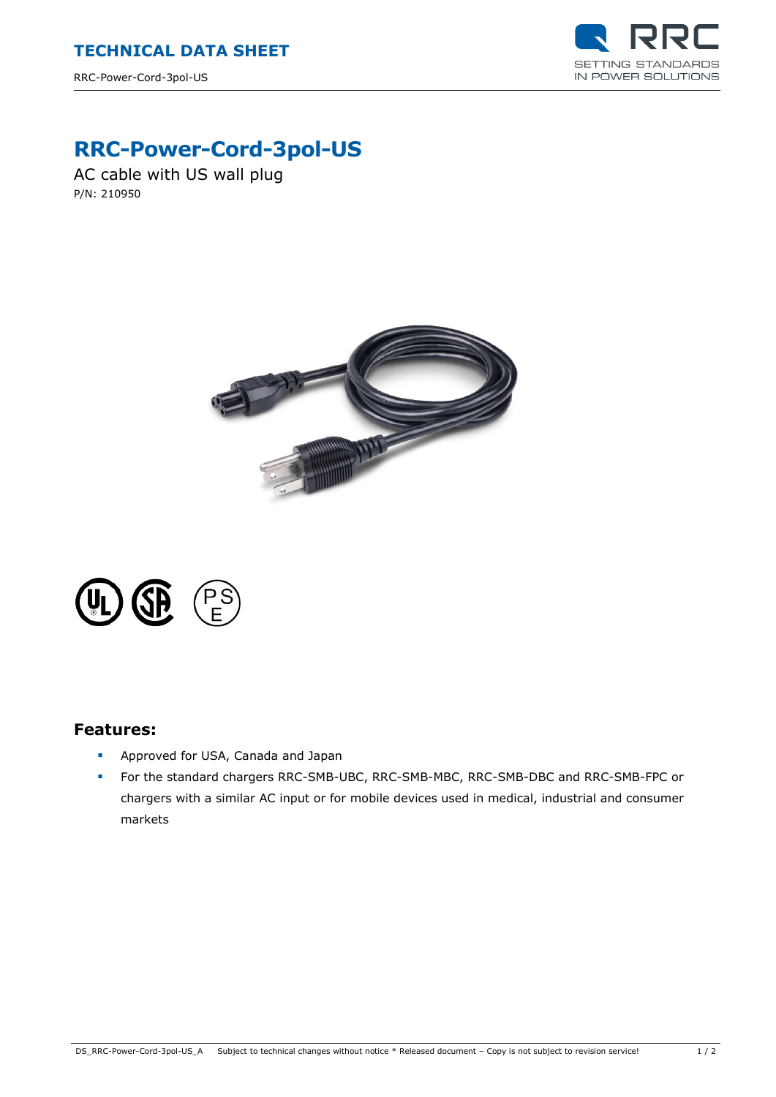

## **RRC-Power-Cord-3pol-US**

AC cable with US wall plug P/N: 210950





## **Features:**

- **Approved for USA, Canada and Japan**
- For the standard chargers RRC-SMB-UBC, RRC-SMB-MBC, RRC-SMB-DBC and RRC-SMB-FPC or chargers with a similar AC input or for mobile devices used in medical, industrial and consumer markets